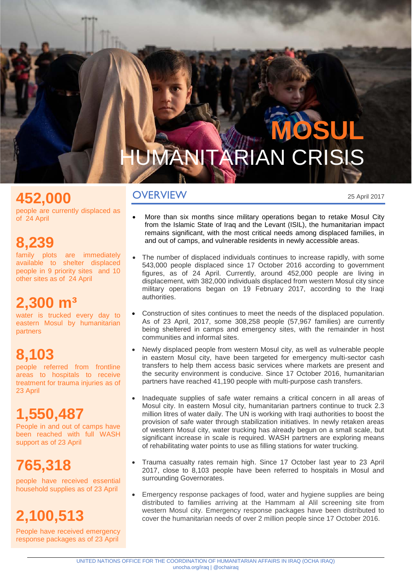# **MOSUL** UMANITARIAN CRISIS

#### **OVERVIEW**

**452,000 EXECUTE SEXUAL SEXUAL SEXUAL AREA CONSERVED ASSESSED ADDENT ACCORDING ACCORDING ACCORDING ACCORDING ACCORDING ACCORDING ACCORDING ACCORDING ACCORDING ACCORDING ACCORDING ACCORDING ACCORDING ACCORDING ACCORDING A** 

people are currently displaced as of 24 April

#### **8,239**

family plots are immediately available to shelter displaced people in 9 priority sites and 10 other sites as of 24 April

#### **2,300 m³**

water is trucked every day to eastern Mosul by humanitarian partners

### **8,103**

people referred from frontline areas to hospitals to receive treatment for trauma injuries as of 23 April

### **1,550,487**

People in and out of camps have been reached with full WASH support as of 23 April

### **765,318**

people have received essential household supplies as of 23 April

## **2,100,513**

People have received emergency response packages as of 23 April

- More than six months since military operations began to retake Mosul City from the Islamic State of Iraq and the Levant (ISIL), the humanitarian impact remains significant, with the most critical needs among displaced families, in and out of camps, and vulnerable residents in newly accessible areas.
- The number of displaced individuals continues to increase rapidly, with some 543,000 people displaced since 17 October 2016 according to government figures, as of 24 April. Currently, around 452,000 people are living in displacement, with 382,000 individuals displaced from western Mosul city since military operations began on 19 February 2017, according to the Iraqi authorities.
- Construction of sites continues to meet the needs of the displaced population. As of 23 April, 2017, some 308,258 people (57,967 families) are currently being sheltered in camps and emergency sites, with the remainder in host communities and informal sites.
- Newly displaced people from western Mosul city, as well as vulnerable people in eastern Mosul city, have been targeted for emergency multi-sector cash transfers to help them access basic services where markets are present and the security environment is conducive. Since 17 October 2016, humanitarian partners have reached 41,190 people with multi-purpose cash transfers.
- Inadequate supplies of safe water remains a critical concern in all areas of Mosul city. In eastern Mosul city, humanitarian partners continue to truck 2.3 million litres of water daily. The UN is working with Iraqi authorities to boost the provision of safe water through stabilization initiatives. In newly retaken areas of western Mosul city, water trucking has already begun on a small scale, but significant increase in scale is required. WASH partners are exploring means of rehabilitating water points to use as filling stations for water trucking.
- Trauma casualty rates remain high. Since 17 October last year to 23 April 2017, close to 8,103 people have been referred to hospitals in Mosul and surrounding Governorates.
- Emergency response packages of food, water and hygiene supplies are being distributed to families arriving at the Hammam al Alil screening site from western Mosul city. Emergency response packages have been distributed to cover the humanitarian needs of over 2 million people since 17 October 2016.